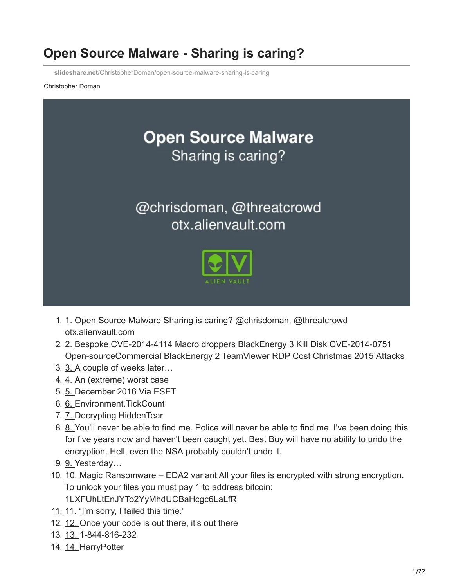# **Open Source Malware - Sharing is caring?**

**slideshare.net**[/ChristopherDoman/open-source-malware-sharing-is-caring](https://www.slideshare.net/ChristopherDoman/open-source-malware-sharing-is-caring)

#### Christopher Doman



- 1. 1. Open Source Malware Sharing is caring? @chrisdoman, @threatcrowd otx.alienvault.com
- 2. [2. B](https://image.slidesharecdn.com/slidesexport-170612162627/95/open-source-malware-sharing-is-caring-2-638.jpg?cb=1497284900)espoke CVE-2014-4114 Macro droppers BlackEnergy 3 Kill Disk CVE-2014-0751 Open-sourceCommercial BlackEnergy 2 TeamViewer RDP Cost Christmas 2015 Attacks
- 3. [3. A](https://image.slidesharecdn.com/slidesexport-170612162627/95/open-source-malware-sharing-is-caring-3-638.jpg?cb=1497284900) couple of weeks later…
- 4. [4. A](https://image.slidesharecdn.com/slidesexport-170612162627/95/open-source-malware-sharing-is-caring-4-638.jpg?cb=1497284900)n (extreme) worst case
- 5. [5. D](https://image.slidesharecdn.com/slidesexport-170612162627/95/open-source-malware-sharing-is-caring-5-638.jpg?cb=1497284900)ecember 2016 Via ESET
- 6. [6. E](https://image.slidesharecdn.com/slidesexport-170612162627/95/open-source-malware-sharing-is-caring-6-638.jpg?cb=1497284900)nvironment.TickCount
- 7. [7. D](https://image.slidesharecdn.com/slidesexport-170612162627/95/open-source-malware-sharing-is-caring-7-638.jpg?cb=1497284900)ecrypting HiddenTear
- 8. [8. Y](https://image.slidesharecdn.com/slidesexport-170612162627/95/open-source-malware-sharing-is-caring-8-638.jpg?cb=1497284900)ou'll never be able to find me. Police will never be able to find me. I've been doing this for five years now and haven't been caught yet. Best Buy will have no ability to undo the encryption. Hell, even the NSA probably couldn't undo it.
- 9. [9. Y](https://image.slidesharecdn.com/slidesexport-170612162627/95/open-source-malware-sharing-is-caring-9-638.jpg?cb=1497284900)esterday…
- 10. [10.](https://image.slidesharecdn.com/slidesexport-170612162627/95/open-source-malware-sharing-is-caring-10-638.jpg?cb=1497284900) Magic Ransomware EDA2 variant All your files is encrypted with strong encryption. To unlock your files you must pay 1 to address bitcoin: 1LXFUhLtEnJYTo2YyMhdUCBaHcgc6LaLfR
- [11.](https://image.slidesharecdn.com/slidesexport-170612162627/95/open-source-malware-sharing-is-caring-11-638.jpg?cb=1497284900) 11. "I'm sorry, I failed this time."
- 12. [12.](https://image.slidesharecdn.com/slidesexport-170612162627/95/open-source-malware-sharing-is-caring-12-638.jpg?cb=1497284900) Once your code is out there, it's out there
- 13. [13.](https://image.slidesharecdn.com/slidesexport-170612162627/95/open-source-malware-sharing-is-caring-13-638.jpg?cb=1497284900) 1-844-816-232
- 14. [14.](https://image.slidesharecdn.com/slidesexport-170612162627/95/open-source-malware-sharing-is-caring-14-638.jpg?cb=1497284900) HarryPotter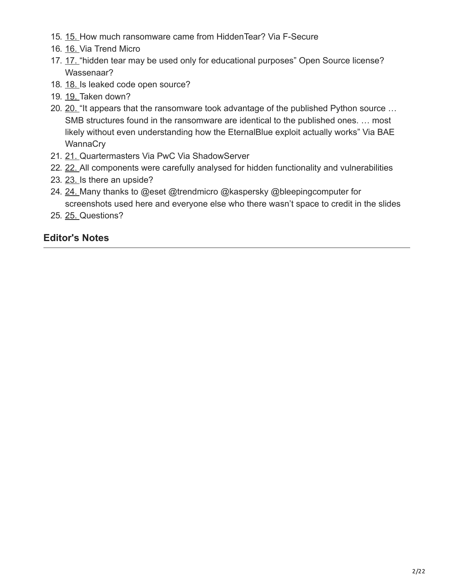- 15. [15.](https://image.slidesharecdn.com/slidesexport-170612162627/95/open-source-malware-sharing-is-caring-15-638.jpg?cb=1497284900) How much ransomware came from HiddenTear? Via F-Secure
- 16. [16.](https://image.slidesharecdn.com/slidesexport-170612162627/95/open-source-malware-sharing-is-caring-16-638.jpg?cb=1497284900) Via Trend Micro
- 17. [17.](https://image.slidesharecdn.com/slidesexport-170612162627/95/open-source-malware-sharing-is-caring-17-638.jpg?cb=1497284900) "hidden tear may be used only for educational purposes" Open Source license? Wassenaar?
- 18. [18.](https://image.slidesharecdn.com/slidesexport-170612162627/95/open-source-malware-sharing-is-caring-18-638.jpg?cb=1497284900) Is leaked code open source?
- 19. [19.](https://image.slidesharecdn.com/slidesexport-170612162627/95/open-source-malware-sharing-is-caring-19-638.jpg?cb=1497284900) Taken down?
- [20.](https://image.slidesharecdn.com/slidesexport-170612162627/95/open-source-malware-sharing-is-caring-20-638.jpg?cb=1497284900) 20. "It appears that the ransomware took advantage of the published Python source ... SMB structures found in the ransomware are identical to the published ones. … most likely without even understanding how the EternalBlue exploit actually works" Via BAE **WannaCry**
- 21. [21.](https://image.slidesharecdn.com/slidesexport-170612162627/95/open-source-malware-sharing-is-caring-21-638.jpg?cb=1497284900) Quartermasters Via PwC Via ShadowServer
- [22.](https://image.slidesharecdn.com/slidesexport-170612162627/95/open-source-malware-sharing-is-caring-22-638.jpg?cb=1497284900) 22. All components were carefully analysed for hidden functionality and vulnerabilities
- 23. [23.](https://image.slidesharecdn.com/slidesexport-170612162627/95/open-source-malware-sharing-is-caring-23-638.jpg?cb=1497284900) Is there an upside?
- 24. [24.](https://image.slidesharecdn.com/slidesexport-170612162627/95/open-source-malware-sharing-is-caring-24-638.jpg?cb=1497284900) Many thanks to @eset @trendmicro @kaspersky @bleepingcomputer for screenshots used here and everyone else who there wasn't space to credit in the slides
- 25. [25.](https://image.slidesharecdn.com/slidesexport-170612162627/95/open-source-malware-sharing-is-caring-25-638.jpg?cb=1497284900) Questions?

### **Editor's Notes**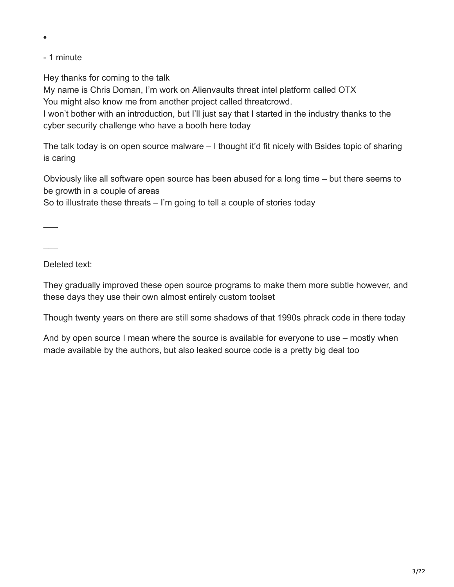- 1 minute

Hey thanks for coming to the talk

My name is Chris Doman, I'm work on Alienvaults threat intel platform called OTX You might also know me from another project called threatcrowd.

I won't bother with an introduction, but I'll just say that I started in the industry thanks to the cyber security challenge who have a booth here today

The talk today is on open source malware – I thought it'd fit nicely with Bsides topic of sharing is caring

Obviously like all software open source has been abused for a long time – but there seems to be growth in a couple of areas

So to illustrate these threats – I'm going to tell a couple of stories today

 $\overline{\phantom{a}}$ 

 $\overline{\phantom{a}}$ 

Deleted text:

They gradually improved these open source programs to make them more subtle however, and these days they use their own almost entirely custom toolset

Though twenty years on there are still some shadows of that 1990s phrack code in there today

And by open source I mean where the source is available for everyone to use – mostly when made available by the authors, but also leaked source code is a pretty big deal too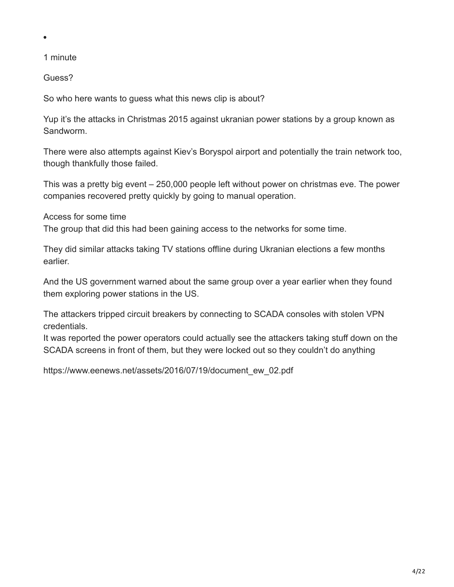#### 1 minute

Guess?

So who here wants to guess what this news clip is about?

Yup it's the attacks in Christmas 2015 against ukranian power stations by a group known as Sandworm.

There were also attempts against Kiev's Boryspol airport and potentially the train network too, though thankfully those failed.

This was a pretty big event – 250,000 people left without power on christmas eve. The power companies recovered pretty quickly by going to manual operation.

Access for some time

The group that did this had been gaining access to the networks for some time.

They did similar attacks taking TV stations offline during Ukranian elections a few months earlier.

And the US government warned about the same group over a year earlier when they found them exploring power stations in the US.

The attackers tripped circuit breakers by connecting to SCADA consoles with stolen VPN credentials.

It was reported the power operators could actually see the attackers taking stuff down on the SCADA screens in front of them, but they were locked out so they couldn't do anything

https://www.eenews.net/assets/2016/07/19/document\_ew\_02.pdf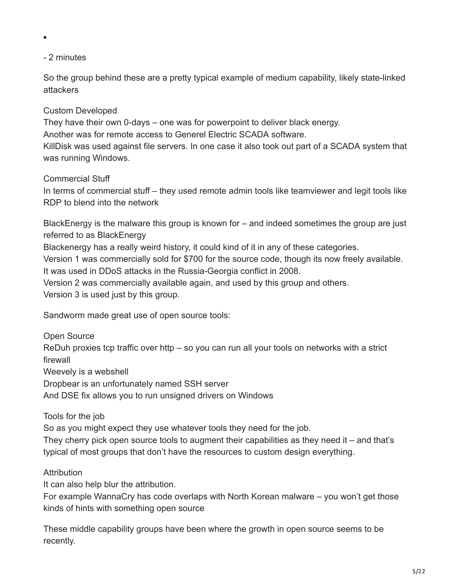### - 2 minutes

 $\bullet$ 

So the group behind these are a pretty typical example of medium capability, likely state-linked attackers

### Custom Developed

They have their own 0-days – one was for powerpoint to deliver black energy.

Another was for remote access to Generel Electric SCADA software.

KillDisk was used against file servers. In one case it also took out part of a SCADA system that was running Windows.

### Commercial Stuff

In terms of commercial stuff – they used remote admin tools like teamviewer and legit tools like RDP to blend into the network

BlackEnergy is the malware this group is known for – and indeed sometimes the group are just referred to as BlackEnergy

Blackenergy has a really weird history, it could kind of it in any of these categories.

Version 1 was commercially sold for \$700 for the source code, though its now freely available.

It was used in DDoS attacks in the Russia-Georgia conflict in 2008.

Version 2 was commercially available again, and used by this group and others.

Version 3 is used just by this group.

Sandworm made great use of open source tools:

Open Source

ReDuh proxies tcp traffic over http – so you can run all your tools on networks with a strict firewall

Weevely is a webshell

Dropbear is an unfortunately named SSH server

And DSE fix allows you to run unsigned drivers on Windows

### Tools for the job

So as you might expect they use whatever tools they need for the job.

They cherry pick open source tools to augment their capabilities as they need it – and that's typical of most groups that don't have the resources to custom design everything.

### **Attribution**

It can also help blur the attribution.

For example WannaCry has code overlaps with North Korean malware – you won't get those kinds of hints with something open source

These middle capability groups have been where the growth in open source seems to be recently.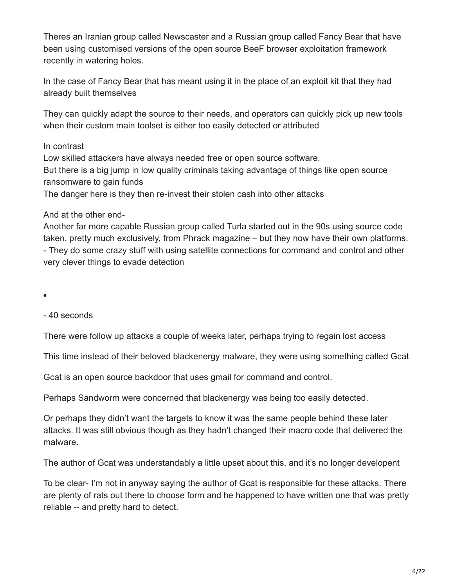Theres an Iranian group called Newscaster and a Russian group called Fancy Bear that have been using customised versions of the open source BeeF browser exploitation framework recently in watering holes.

In the case of Fancy Bear that has meant using it in the place of an exploit kit that they had already built themselves

They can quickly adapt the source to their needs, and operators can quickly pick up new tools when their custom main toolset is either too easily detected or attributed

#### In contrast

Low skilled attackers have always needed free or open source software. But there is a big jump in low quality criminals taking advantage of things like open source ransomware to gain funds

The danger here is they then re-invest their stolen cash into other attacks

#### And at the other end-

Another far more capable Russian group called Turla started out in the 90s using source code taken, pretty much exclusively, from Phrack magazine – but they now have their own platforms. - They do some crazy stuff with using satellite connections for command and control and other very clever things to evade detection

 $\bullet$ 

- 40 seconds

There were follow up attacks a couple of weeks later, perhaps trying to regain lost access

This time instead of their beloved blackenergy malware, they were using something called Gcat

Gcat is an open source backdoor that uses gmail for command and control.

Perhaps Sandworm were concerned that blackenergy was being too easily detected.

Or perhaps they didn't want the targets to know it was the same people behind these later attacks. It was still obvious though as they hadn't changed their macro code that delivered the malware.

The author of Gcat was understandably a little upset about this, and it's no longer developent

To be clear- I'm not in anyway saying the author of Gcat is responsible for these attacks. There are plenty of rats out there to choose form and he happened to have written one that was pretty reliable -- and pretty hard to detect.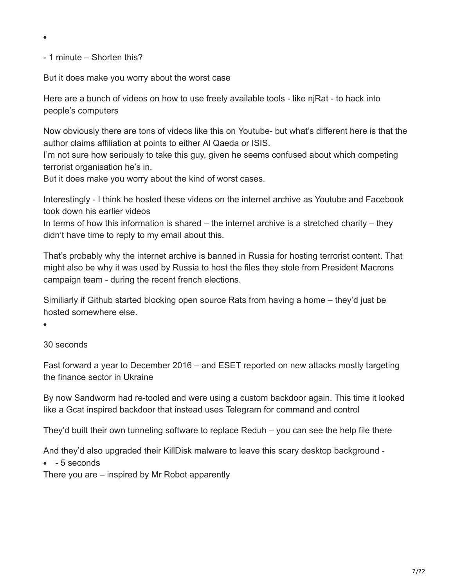- 1 minute – Shorten this?

 $\bullet$ 

But it does make you worry about the worst case

Here are a bunch of videos on how to use freely available tools - like njRat - to hack into people's computers

Now obviously there are tons of videos like this on Youtube- but what's different here is that the author claims affiliation at points to either Al Qaeda or ISIS.

I'm not sure how seriously to take this guy, given he seems confused about which competing terrorist organisation he's in.

But it does make you worry about the kind of worst cases.

Interestingly - I think he hosted these videos on the internet archive as Youtube and Facebook took down his earlier videos

In terms of how this information is shared – the internet archive is a stretched charity – they didn't have time to reply to my email about this.

That's probably why the internet archive is banned in Russia for hosting terrorist content. That might also be why it was used by Russia to host the files they stole from President Macrons campaign team - during the recent french elections.

Similiarly if Github started blocking open source Rats from having a home – they'd just be hosted somewhere else.

30 seconds

Fast forward a year to December 2016 – and ESET reported on new attacks mostly targeting the finance sector in Ukraine

By now Sandworm had re-tooled and were using a custom backdoor again. This time it looked like a Gcat inspired backdoor that instead uses Telegram for command and control

They'd built their own tunneling software to replace Reduh – you can see the help file there

And they'd also upgraded their KillDisk malware to leave this scary desktop background -

 $-5$  seconds

There you are – inspired by Mr Robot apparently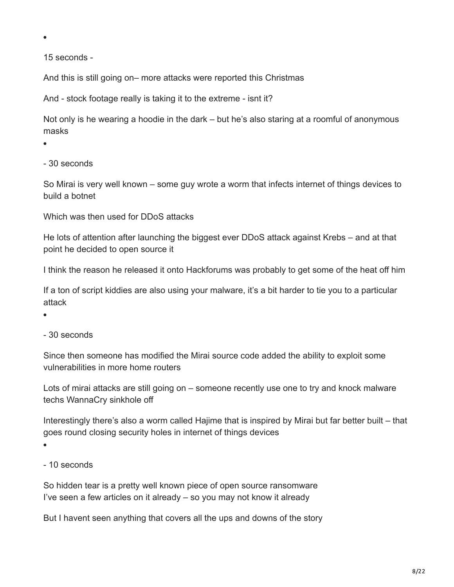15 seconds -

And this is still going on– more attacks were reported this Christmas

And - stock footage really is taking it to the extreme - isnt it?

Not only is he wearing a hoodie in the dark – but he's also staring at a roomful of anonymous masks

- 30 seconds

So Mirai is very well known – some guy wrote a worm that infects internet of things devices to build a botnet

Which was then used for DDoS attacks

He lots of attention after launching the biggest ever DDoS attack against Krebs – and at that point he decided to open source it

I think the reason he released it onto Hackforums was probably to get some of the heat off him

If a ton of script kiddies are also using your malware, it's a bit harder to tie you to a particular attack

- 30 seconds

Since then someone has modified the Mirai source code added the ability to exploit some vulnerabilities in more home routers

Lots of mirai attacks are still going on – someone recently use one to try and knock malware techs WannaCry sinkhole off

Interestingly there's also a worm called Hajime that is inspired by Mirai but far better built – that goes round closing security holes in internet of things devices

 $\bullet$ 

- 10 seconds

So hidden tear is a pretty well known piece of open source ransomware I've seen a few articles on it already – so you may not know it already

But I havent seen anything that covers all the ups and downs of the story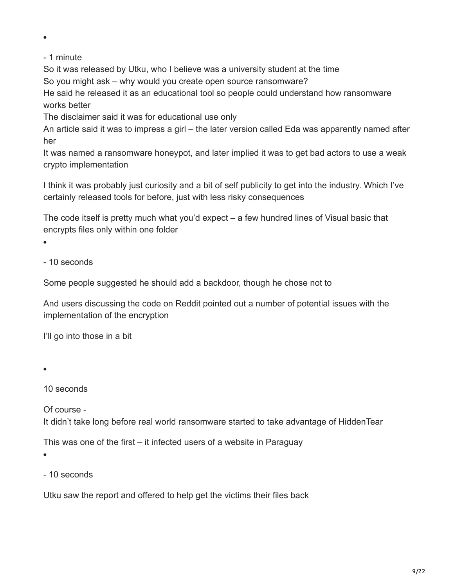- 1 minute

So it was released by Utku, who I believe was a university student at the time

So you might ask – why would you create open source ransomware?

He said he released it as an educational tool so people could understand how ransomware works better

The disclaimer said it was for educational use only

An article said it was to impress a girl – the later version called Eda was apparently named after her

It was named a ransomware honeypot, and later implied it was to get bad actors to use a weak crypto implementation

I think it was probably just curiosity and a bit of self publicity to get into the industry. Which I've certainly released tools for before, just with less risky consequences

The code itself is pretty much what you'd expect – a few hundred lines of Visual basic that encrypts files only within one folder

 $\bullet$ 

- 10 seconds

Some people suggested he should add a backdoor, though he chose not to

And users discussing the code on Reddit pointed out a number of potential issues with the implementation of the encryption

I'll go into those in a bit

 $\bullet$ 

10 seconds

Of course -

It didn't take long before real world ransomware started to take advantage of HiddenTear

This was one of the first – it infected users of a website in Paraguay

 $\bullet$ 

- 10 seconds

Utku saw the report and offered to help get the victims their files back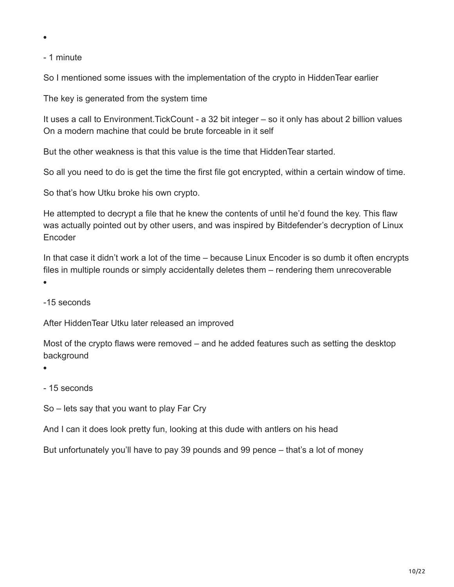- 1 minute

So I mentioned some issues with the implementation of the crypto in HiddenTear earlier

The key is generated from the system time

It uses a call to Environment.TickCount - a 32 bit integer – so it only has about 2 billion values On a modern machine that could be brute forceable in it self

But the other weakness is that this value is the time that HiddenTear started.

So all you need to do is get the time the first file got encrypted, within a certain window of time.

So that's how Utku broke his own crypto.

He attempted to decrypt a file that he knew the contents of until he'd found the key. This flaw was actually pointed out by other users, and was inspired by Bitdefender's decryption of Linux Encoder

In that case it didn't work a lot of the time – because Linux Encoder is so dumb it often encrypts files in multiple rounds or simply accidentally deletes them – rendering them unrecoverable

 $\bullet$ 

-15 seconds

After HiddenTear Utku later released an improved

Most of the crypto flaws were removed – and he added features such as setting the desktop background

- 15 seconds

So – lets say that you want to play Far Cry

And I can it does look pretty fun, looking at this dude with antlers on his head

But unfortunately you'll have to pay 39 pounds and 99 pence – that's a lot of money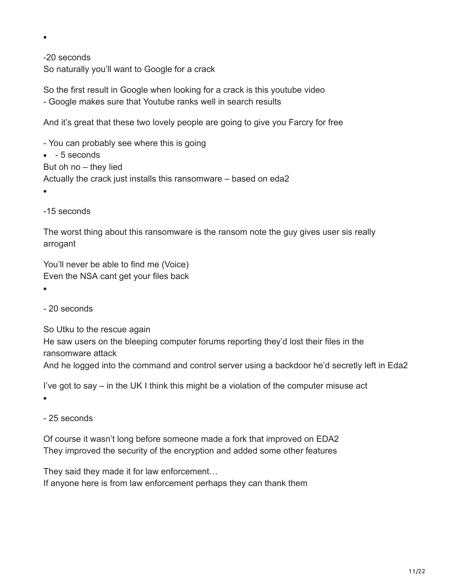-20 seconds So naturally you'll want to Google for a crack

So the first result in Google when looking for a crack is this youtube video - Google makes sure that Youtube ranks well in search results

And it's great that these two lovely people are going to give you Farcry for free

- You can probably see where this is going  $-5$  seconds But oh no – they lied Actually the crack just installs this ransomware – based on eda2

 $\bullet$ 

 $\bullet$ 

-15 seconds

The worst thing about this ransomware is the ransom note the guy gives user sis really arrogant

You'll never be able to find me (Voice) Even the NSA cant get your files back

- 20 seconds

So Utku to the rescue again

He saw users on the bleeping computer forums reporting they'd lost their files in the ransomware attack

And he logged into the command and control server using a backdoor he'd secretly left in Eda2

I've got to say – in the UK I think this might be a violation of the computer misuse act

- 25 seconds

Of course it wasn't long before someone made a fork that improved on EDA2 They improved the security of the encryption and added some other features

They said they made it for law enforcement…

If anyone here is from law enforcement perhaps they can thank them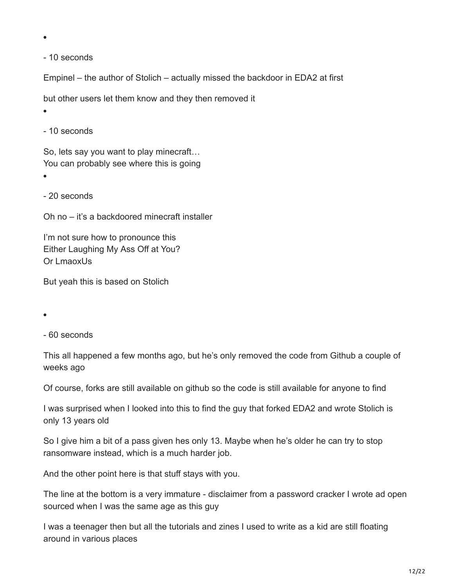- 10 seconds

Empinel – the author of Stolich – actually missed the backdoor in EDA2 at first

but other users let them know and they then removed it

- 10 seconds

So, lets say you want to play minecraft… You can probably see where this is going

 $\bullet$ 

- 20 seconds

Oh no – it's a backdoored minecraft installer

I'm not sure how to pronounce this Either Laughing My Ass Off at You? Or LmaoxUs

But yeah this is based on Stolich

- 60 seconds

This all happened a few months ago, but he's only removed the code from Github a couple of weeks ago

Of course, forks are still available on github so the code is still available for anyone to find

I was surprised when I looked into this to find the guy that forked EDA2 and wrote Stolich is only 13 years old

So I give him a bit of a pass given hes only 13. Maybe when he's older he can try to stop ransomware instead, which is a much harder job.

And the other point here is that stuff stays with you.

The line at the bottom is a very immature - disclaimer from a password cracker I wrote ad open sourced when I was the same age as this guy

I was a teenager then but all the tutorials and zines I used to write as a kid are still floating around in various places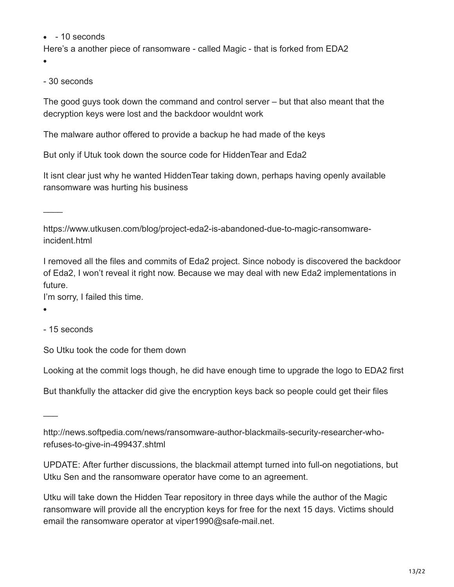$-10$  seconds

Here's a another piece of ransomware - called Magic - that is forked from EDA2

- 30 seconds

The good guys took down the command and control server – but that also meant that the decryption keys were lost and the backdoor wouldnt work

The malware author offered to provide a backup he had made of the keys

But only if Utuk took down the source code for HiddenTear and Eda2

It isnt clear just why he wanted HiddenTear taking down, perhaps having openly available ransomware was hurting his business

 $\overline{\phantom{a}}$ 

https://www.utkusen.com/blog/project-eda2-is-abandoned-due-to-magic-ransomwareincident.html

I removed all the files and commits of Eda2 project. Since nobody is discovered the backdoor of Eda2, I won't reveal it right now. Because we may deal with new Eda2 implementations in future.

I'm sorry, I failed this time.

 $\bullet$ 

 $\overline{\phantom{a}}$ 

- 15 seconds

So Utku took the code for them down

Looking at the commit logs though, he did have enough time to upgrade the logo to EDA2 first

But thankfully the attacker did give the encryption keys back so people could get their files

http://news.softpedia.com/news/ransomware-author-blackmails-security-researcher-whorefuses-to-give-in-499437.shtml

UPDATE: After further discussions, the blackmail attempt turned into full-on negotiations, but Utku Sen and the ransomware operator have come to an agreement.

Utku will take down the Hidden Tear repository in three days while the author of the Magic ransomware will provide all the encryption keys for free for the next 15 days. Victims should email the ransomware operator at viper1990@safe-mail.net.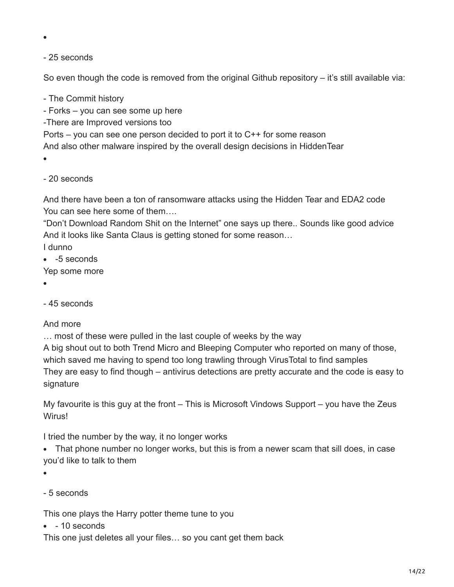#### - 25 seconds

So even though the code is removed from the original Github repository  $-$  it's still available via:

- The Commit history

- Forks – you can see some up here

-There are Improved versions too

Ports – you can see one person decided to port it to C++ for some reason

And also other malware inspired by the overall design decisions in HiddenTear

 $\bullet$ 

- 20 seconds

And there have been a ton of ransomware attacks using the Hidden Tear and EDA2 code You can see here some of them….

"Don't Download Random Shit on the Internet" one says up there.. Sounds like good advice And it looks like Santa Claus is getting stoned for some reason…

I dunno

• -5 seconds

Yep some more

- 
- 45 seconds

#### And more

… most of these were pulled in the last couple of weeks by the way

A big shout out to both Trend Micro and Bleeping Computer who reported on many of those, which saved me having to spend too long trawling through VirusTotal to find samples They are easy to find though – antivirus detections are pretty accurate and the code is easy to signature

My favourite is this guy at the front – This is Microsoft Vindows Support – you have the Zeus Wirus!

I tried the number by the way, it no longer works

• That phone number no longer works, but this is from a newer scam that sill does, in case you'd like to talk to them

- $\bullet$
- 5 seconds

This one plays the Harry potter theme tune to you

 $-10$  seconds

This one just deletes all your files… so you cant get them back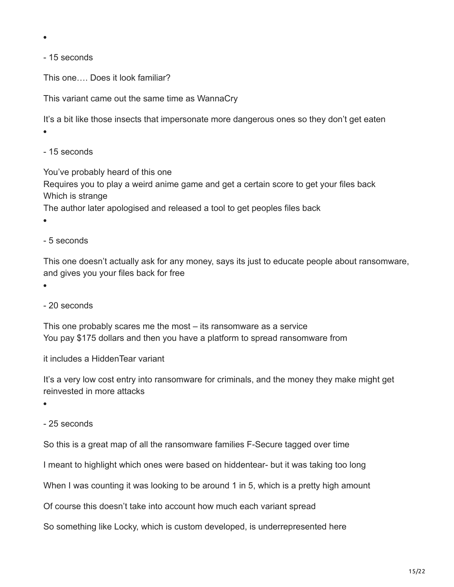- 15 seconds

This one…. Does it look familiar?

This variant came out the same time as WannaCry

It's a bit like those insects that impersonate more dangerous ones so they don't get eaten  $\bullet$ 

- 15 seconds

You've probably heard of this one Requires you to play a weird anime game and get a certain score to get your files back Which is strange

The author later apologised and released a tool to get peoples files back

- 5 seconds

This one doesn't actually ask for any money, says its just to educate people about ransomware, and gives you your files back for free

 $\bullet$ 

- 20 seconds

This one probably scares me the most – its ransomware as a service You pay \$175 dollars and then you have a platform to spread ransomware from

it includes a HiddenTear variant

It's a very low cost entry into ransomware for criminals, and the money they make might get reinvested in more attacks

 $\bullet$ 

- 25 seconds

So this is a great map of all the ransomware families F-Secure tagged over time

I meant to highlight which ones were based on hiddentear- but it was taking too long

When I was counting it was looking to be around 1 in 5, which is a pretty high amount

Of course this doesn't take into account how much each variant spread

So something like Locky, which is custom developed, is underrepresented here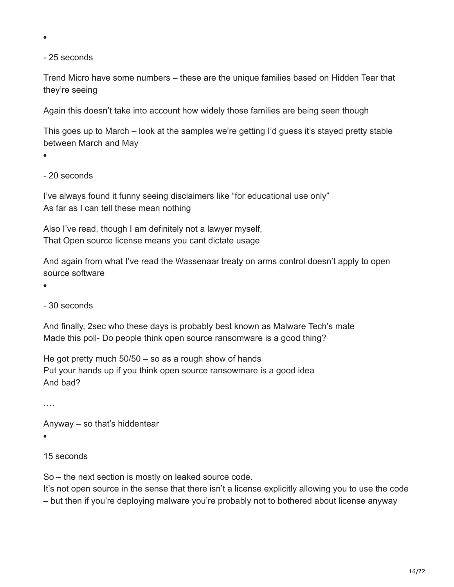- 25 seconds

Trend Micro have some numbers – these are the unique families based on Hidden Tear that they're seeing

Again this doesn't take into account how widely those families are being seen though

This goes up to March – look at the samples we're getting I'd guess it's stayed pretty stable between March and May

 $\bullet$ 

- 20 seconds

I've always found it funny seeing disclaimers like "for educational use only" As far as I can tell these mean nothing

Also I've read, though I am definitely not a lawyer myself, That Open source license means you cant dictate usage

And again from what I've read the Wassenaar treaty on arms control doesn't apply to open source software

 $\blacksquare$ 

- 30 seconds

And finally, 2sec who these days is probably best known as Malware Tech's mate Made this poll- Do people think open source ransomware is a good thing?

He got pretty much 50/50 – so as a rough show of hands Put your hands up if you think open source ransowmare is a good idea And bad?

….

Anyway – so that's hiddentear

 $\bullet$ 

#### 15 seconds

So – the next section is mostly on leaked source code.

It's not open source in the sense that there isn't a license explicitly allowing you to use the code – but then if you're deploying malware you're probably not to bothered about license anyway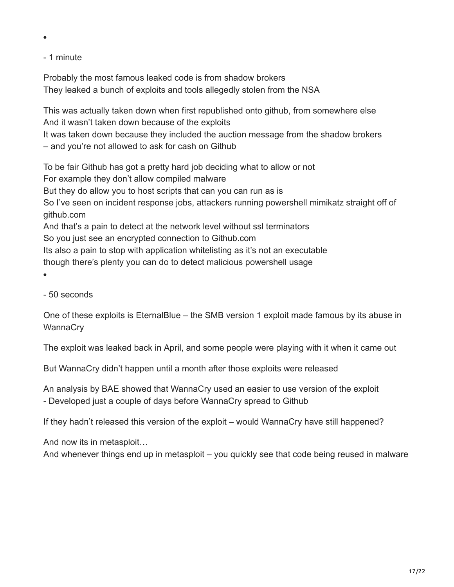### - 1 minute

 $\bullet$ 

Probably the most famous leaked code is from shadow brokers They leaked a bunch of exploits and tools allegedly stolen from the NSA

This was actually taken down when first republished onto github, from somewhere else And it wasn't taken down because of the exploits It was taken down because they included the auction message from the shadow brokers

– and you're not allowed to ask for cash on Github

To be fair Github has got a pretty hard job deciding what to allow or not For example they don't allow compiled malware But they do allow you to host scripts that can you can run as is So I've seen on incident response jobs, attackers running powershell mimikatz straight off of github.com And that's a pain to detect at the network level without ssl terminators So you just see an encrypted connection to Github.com

Its also a pain to stop with application whitelisting as it's not an executable

though there's plenty you can do to detect malicious powershell usage

- 50 seconds

One of these exploits is EternalBlue – the SMB version 1 exploit made famous by its abuse in **WannaCry** 

The exploit was leaked back in April, and some people were playing with it when it came out

But WannaCry didn't happen until a month after those exploits were released

An analysis by BAE showed that WannaCry used an easier to use version of the exploit - Developed just a couple of days before WannaCry spread to Github

If they hadn't released this version of the exploit – would WannaCry have still happened?

And now its in metasploit…

And whenever things end up in metasploit – you quickly see that code being reused in malware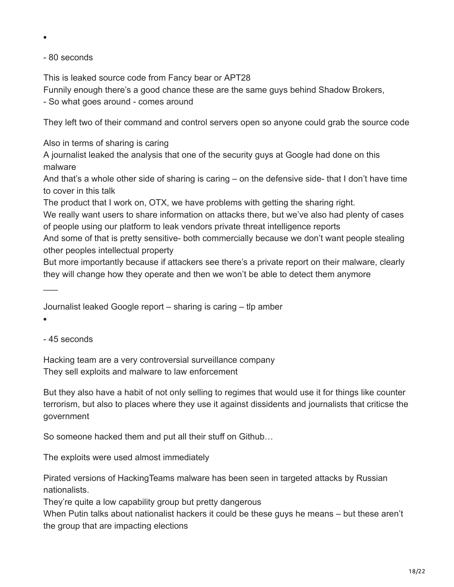- 80 seconds

This is leaked source code from Fancy bear or APT28

Funnily enough there's a good chance these are the same guys behind Shadow Brokers,

- So what goes around - comes around

They left two of their command and control servers open so anyone could grab the source code

Also in terms of sharing is caring

A journalist leaked the analysis that one of the security guys at Google had done on this malware

And that's a whole other side of sharing is caring – on the defensive side- that I don't have time to cover in this talk

The product that I work on, OTX, we have problems with getting the sharing right.

We really want users to share information on attacks there, but we've also had plenty of cases of people using our platform to leak vendors private threat intelligence reports

And some of that is pretty sensitive- both commercially because we don't want people stealing other peoples intellectual property

But more importantly because if attackers see there's a private report on their malware, clearly they will change how they operate and then we won't be able to detect them anymore

Journalist leaked Google report – sharing is caring – tlp amber

 $\overline{\phantom{a}}$ 

- 45 seconds

Hacking team are a very controversial surveillance company They sell exploits and malware to law enforcement

But they also have a habit of not only selling to regimes that would use it for things like counter terrorism, but also to places where they use it against dissidents and journalists that criticse the government

So someone hacked them and put all their stuff on Github…

The exploits were used almost immediately

Pirated versions of HackingTeams malware has been seen in targeted attacks by Russian nationalists.

They're quite a low capability group but pretty dangerous

When Putin talks about nationalist hackers it could be these guys he means – but these aren't the group that are impacting elections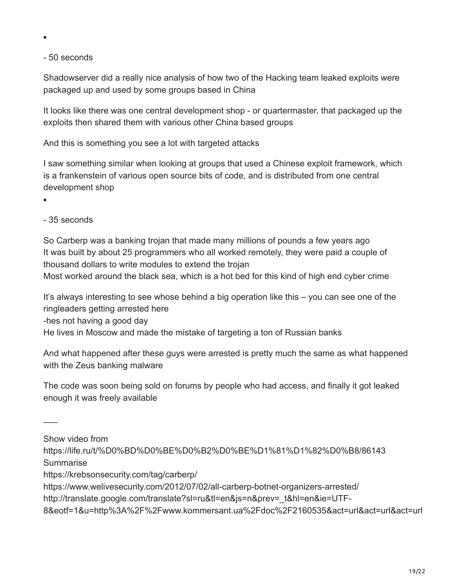- 50 seconds

Shadowserver did a really nice analysis of how two of the Hacking team leaked exploits were packaged up and used by some groups based in China

It looks like there was one central development shop - or quartermaster, that packaged up the exploits then shared them with various other China based groups

And this is something you see a lot with targeted attacks

I saw something similar when looking at groups that used a Chinese exploit framework, which is a frankenstein of various open source bits of code, and is distributed from one central development shop

 $\bullet$ 

- 35 seconds

So Carberp was a banking trojan that made many millions of pounds a few years ago It was built by about 25 programmers who all worked remotely, they were paid a couple of thousand dollars to write modules to extend the trojan

Most worked around the black sea, which is a hot bed for this kind of high end cyber crime

It's always interesting to see whose behind a big operation like this – you can see one of the ringleaders getting arrested here

-hes not having a good day

He lives in Moscow and made the mistake of targeting a ton of Russian banks

And what happened after these guys were arrested is pretty much the same as what happened with the Zeus banking malware

The code was soon being sold on forums by people who had access, and finally it got leaked enough it was freely available

Show video from

 $\overline{\phantom{a}}$ 

- https://life.ru/t/%D0%BD%D0%BE%D0%B2%D0%BE%D1%81%D1%82%D0%B8/86143 **Summarise**
- https://krebsonsecurity.com/tag/carberp/
- https://www.welivesecurity.com/2012/07/02/all-carberp-botnet-organizers-arrested/
- http://translate.google.com/translate?sl=ru&tl=en&js=n&prev=\_t&hl=en&ie=UTF-
- 8&eotf=1&u=http%3A%2F%2Fwww.kommersant.ua%2Fdoc%2F2160535&act=url&act=url&act=url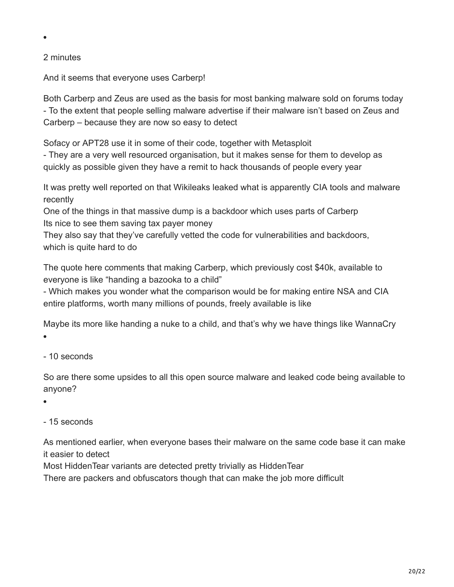#### 2 minutes

 $\bullet$ 

And it seems that everyone uses Carberp!

Both Carberp and Zeus are used as the basis for most banking malware sold on forums today - To the extent that people selling malware advertise if their malware isn't based on Zeus and Carberp – because they are now so easy to detect

Sofacy or APT28 use it in some of their code, together with Metasploit

- They are a very well resourced organisation, but it makes sense for them to develop as quickly as possible given they have a remit to hack thousands of people every year

It was pretty well reported on that Wikileaks leaked what is apparently CIA tools and malware recently

One of the things in that massive dump is a backdoor which uses parts of Carberp Its nice to see them saving tax payer money

They also say that they've carefully vetted the code for vulnerabilities and backdoors, which is quite hard to do

The quote here comments that making Carberp, which previously cost \$40k, available to everyone is like "handing a bazooka to a child"

- Which makes you wonder what the comparison would be for making entire NSA and CIA entire platforms, worth many millions of pounds, freely available is like

Maybe its more like handing a nuke to a child, and that's why we have things like WannaCry  $\bullet$ 

#### - 10 seconds

So are there some upsides to all this open source malware and leaked code being available to anyone?

 $\bullet$ 

#### - 15 seconds

As mentioned earlier, when everyone bases their malware on the same code base it can make it easier to detect

Most HiddenTear variants are detected pretty trivially as HiddenTear

There are packers and obfuscators though that can make the job more difficult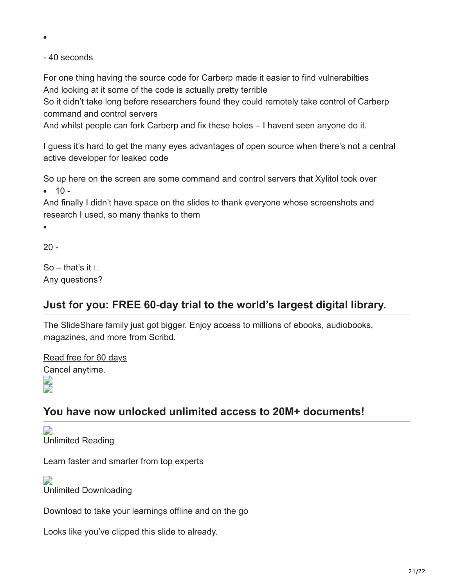- 40 seconds

For one thing having the source code for Carberp made it easier to find vulnerabilties And looking at it some of the code is actually pretty terrible

So it didn't take long before researchers found they could remotely take control of Carberp command and control servers

And whilst people can fork Carberp and fix these holes – I havent seen anyone do it.

I guess it's hard to get the many eyes advantages of open source when there's not a central active developer for leaked code

So up here on the screen are some command and control servers that Xylitol took over

 $-10 -$ 

And finally I didn't have space on the slides to thank everyone whose screenshots and research I used, so many thanks to them

 $\bullet$ 

 $20 -$ 

So – that's it  $\Box$ Any questions?

## **Just for you: FREE 60-day trial to the world's largest digital library.**

The SlideShare family just got bigger. Enjoy access to millions of ebooks, audiobooks, magazines, and more from Scribd.

[Read free for 60 days](https://scribd.com/slideshare?utm_medium=cpc&utm_source=slideshare&utm_campaign=promo-exit-v1) Cancel anytime.

 $\overline{\phantom{a}}$ 

# **You have now unlocked unlimited access to 20M+ documents!**

 $\overline{\phantom{a}}$ Unlimited Reading

Learn faster and smarter from top experts

 $\Box$ Unlimited Downloading

Download to take your learnings offline and on the go

Looks like you've clipped this slide to already.